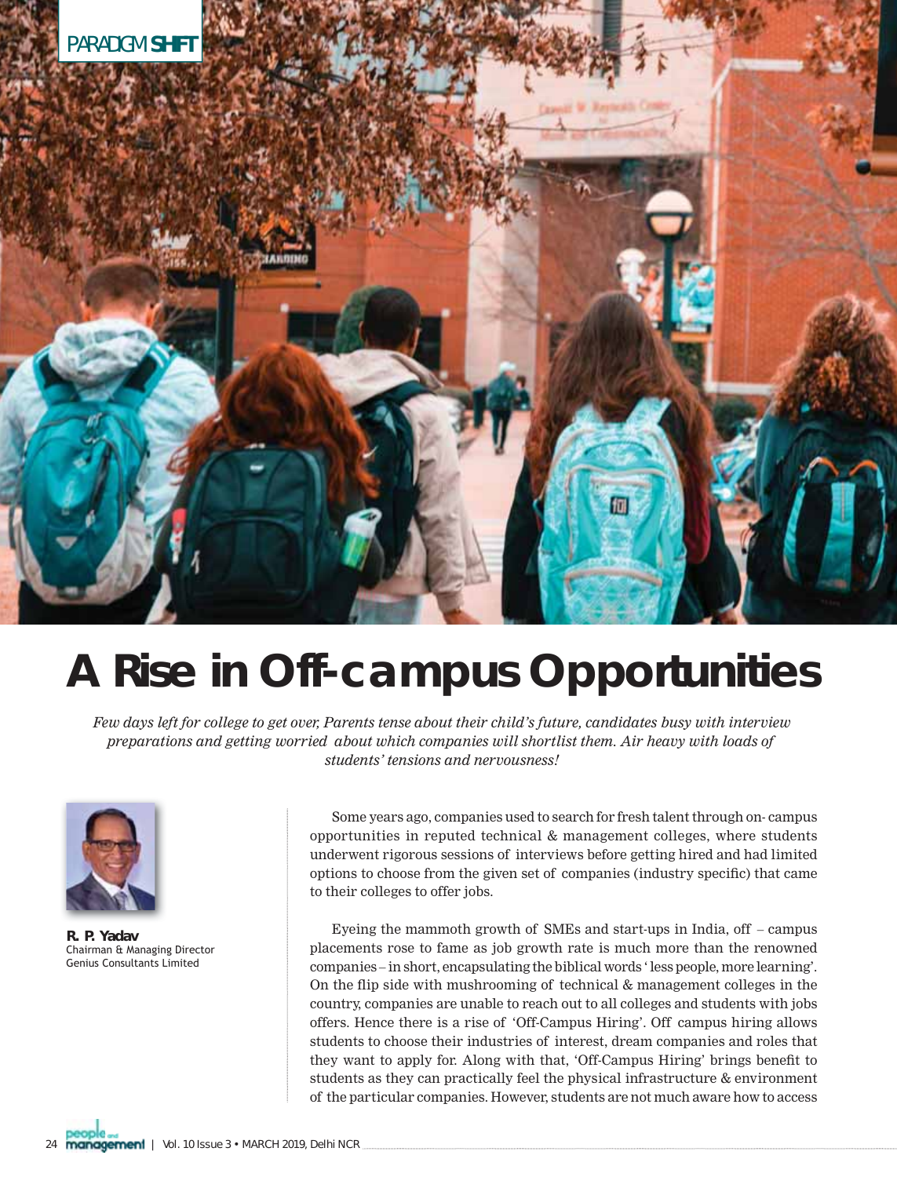

## **A Rise in Off-campus Opportunities**

*Few days left for college to get over, Parents tense about their child's future, candidates busy with interview preparations and getting worried about which companies will shortlist them. Air heavy with loads of students' tensions and nervousness!* 



**R. P. Yadav**  Chairman & Managing Director Genius Consultants Limited

Some years ago, companies used to search for fresh talent through on- campus opportunities in reputed technical & management colleges, where students underwent rigorous sessions of interviews before getting hired and had limited options to choose from the given set of companies (industry specific) that came to their colleges to offer jobs.

Eyeing the mammoth growth of SMEs and start-ups in India, off – campus placements rose to fame as job growth rate is much more than the renowned companies – in short, encapsulating the biblical words ' less people, more learning'. On the flip side with mushrooming of technical  $&$  management colleges in the country, companies are unable to reach out to all colleges and students with jobs offers. Hence there is a rise of 'Off-Campus Hiring'. Off campus hiring allows students to choose their industries of interest, dream companies and roles that they want to apply for. Along with that, 'Off-Campus Hiring' brings benefit to students as they can practically feel the physical infrastructure & environment of the particular companies. However, students are not much aware how to access